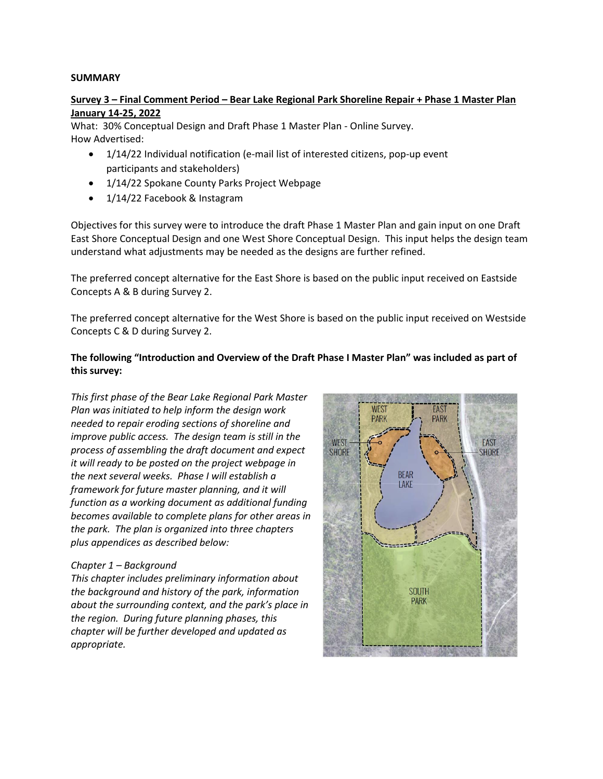### **SUMMARY**

## **Survey 3 – Final Comment Period – Bear Lake Regional Park Shoreline Repair + Phase 1 Master Plan January 14-25, 2022**

What: 30% Conceptual Design and Draft Phase 1 Master Plan - Online Survey. How Advertised:

- 1/14/22 Individual notification (e-mail list of interested citizens, pop-up event participants and stakeholders)
- 1/14/22 Spokane County Parks Project Webpage
- 1/14/22 Facebook & Instagram

Objectives for this survey were to introduce the draft Phase 1 Master Plan and gain input on one Draft East Shore Conceptual Design and one West Shore Conceptual Design. This input helps the design team understand what adjustments may be needed as the designs are further refined.

The preferred concept alternative for the East Shore is based on the public input received on Eastside Concepts A & B during Survey 2.

The preferred concept alternative for the West Shore is based on the public input received on Westside Concepts C & D during Survey 2.

# **The following "Introduction and Overview of the Draft Phase I Master Plan" was included as part of this survey:**

*This first phase of the Bear Lake Regional Park Master Plan was initiated to help inform the design work needed to repair eroding sections of shoreline and improve public access. The design team is still in the process of assembling the draft document and expect it will ready to be posted on the project webpage in the next several weeks. Phase I will establish a framework for future master planning, and it will function as a working document as additional funding becomes available to complete plans for other areas in the park. The plan is organized into three chapters plus appendices as described below:*

## *Chapter 1 – Background*

*This chapter includes preliminary information about the background and history of the park, information about the surrounding context, and the park's place in the region. During future planning phases, this chapter will be further developed and updated as appropriate.*

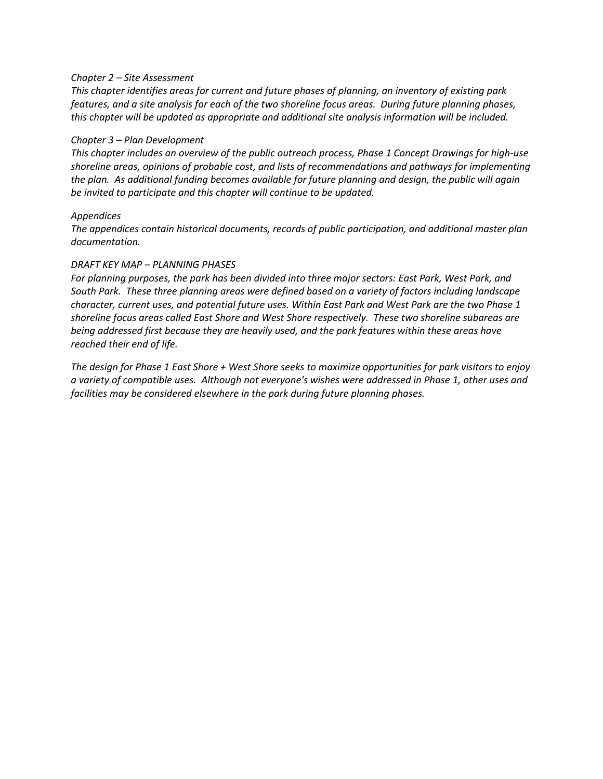#### *Chapter 2 – Site Assessment*

*This chapter identifies areas for current and future phases of planning, an inventory of existing park features, and a site analysis for each of the two shoreline focus areas. During future planning phases, this chapter will be updated as appropriate and additional site analysis information will be included.*

#### *Chapter 3 – Plan Development*

*This chapter includes an overview of the public outreach process, Phase 1 Concept Drawings for high-use shoreline areas, opinions of probable cost, and lists of recommendations and pathways for implementing the plan. As additional funding becomes available for future planning and design, the public will again be invited to participate and this chapter will continue to be updated.*

### *Appendices*

*The appendices contain historical documents, records of public participation, and additional master plan documentation.*

### *DRAFT KEY MAP – PLANNING PHASES*

*For planning purposes, the park has been divided into three major sectors: East Park, West Park, and South Park. These three planning areas were defined based on a variety of factors including landscape character, current uses, and potential future uses. Within East Park and West Park are the two Phase 1 shoreline focus areas called East Shore and West Shore respectively. These two shoreline subareas are being addressed first because they are heavily used, and the park features within these areas have reached their end of life.*

*The design for Phase 1 East Shore + West Shore seeks to maximize opportunities for park visitors to enjoy a variety of compatible uses. Although not everyone's wishes were addressed in Phase 1, other uses and facilities may be considered elsewhere in the park during future planning phases.*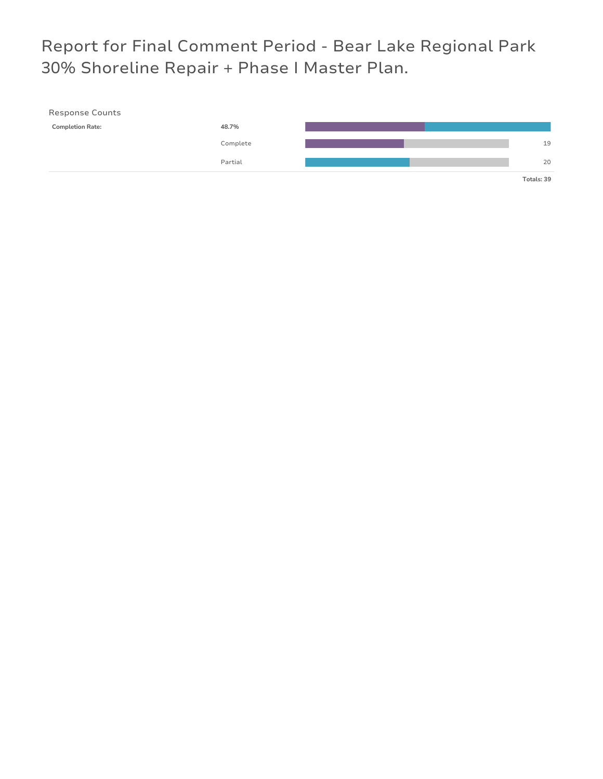# Report for Final Comment Period - Bear Lake Regional Park 30% Shoreline Repair + Phase I Master Plan.

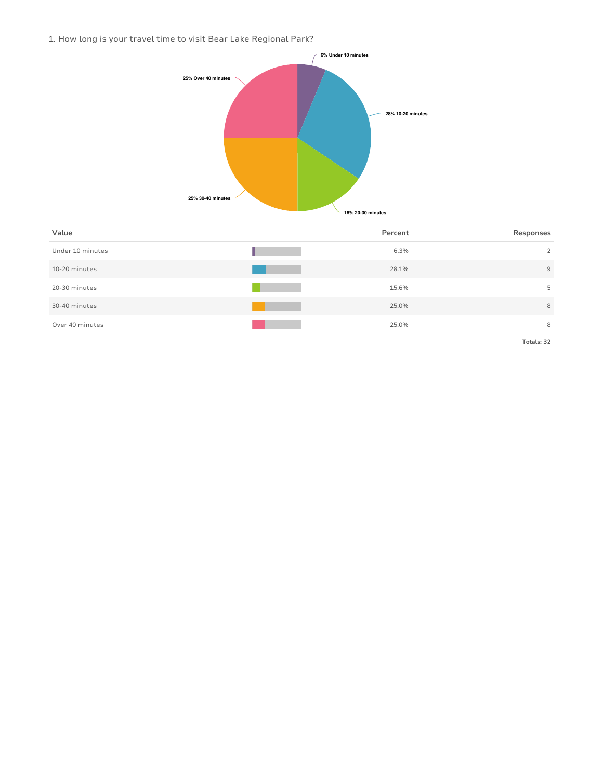1. How long is your travel time to visit Bear Lake Regional Park?



| Value            | Percent | Responses      |
|------------------|---------|----------------|
| Under 10 minutes | 6.3%    | $\overline{2}$ |
| 10-20 minutes    | 28.1%   | $\overline{9}$ |
| 20-30 minutes    | 15.6%   | 5              |
| 30-40 minutes    | 25.0%   | 8              |
| Over 40 minutes  | 25.0%   | 8              |
|                  |         | ______         |

**Totals: 32**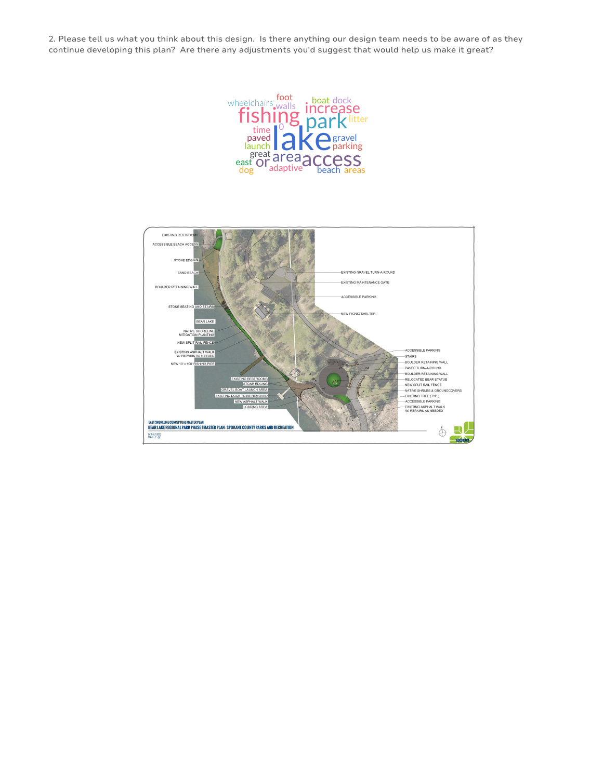2. Please tell us what you think about this design. Is there anything our design team needs to be aware of as they continue developing this plan? Are there any adjustments you'd suggest that would help us make it great?



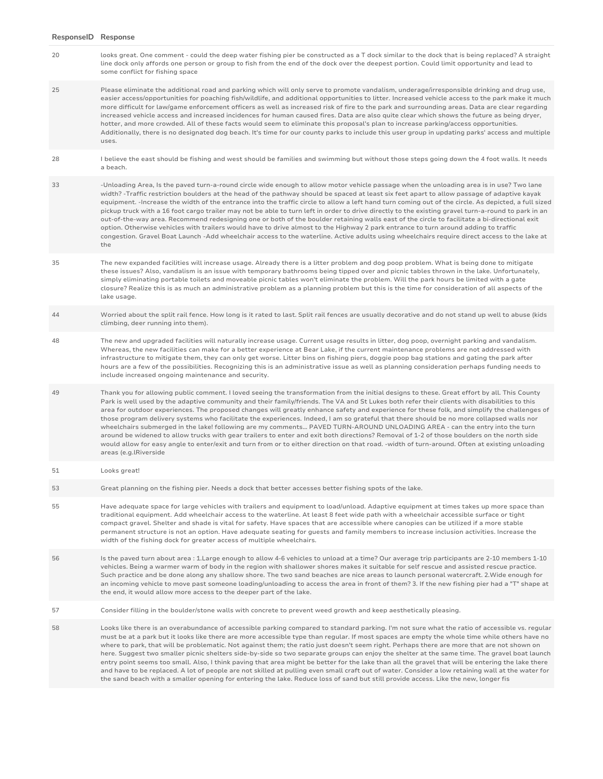| ResponselD Response |                                                                                                                                                                                                                                                                                                                                                                                                                                                                                                                                                                                                                                                                                                                                                                                                                                                                                                                                                                                                                                                      |
|---------------------|------------------------------------------------------------------------------------------------------------------------------------------------------------------------------------------------------------------------------------------------------------------------------------------------------------------------------------------------------------------------------------------------------------------------------------------------------------------------------------------------------------------------------------------------------------------------------------------------------------------------------------------------------------------------------------------------------------------------------------------------------------------------------------------------------------------------------------------------------------------------------------------------------------------------------------------------------------------------------------------------------------------------------------------------------|
| 20                  | looks great. One comment - could the deep water fishing pier be constructed as a T dock similar to the dock that is being replaced? A straight<br>line dock only affords one person or group to fish from the end of the dock over the deepest portion. Could limit opportunity and lead to<br>some conflict for fishing space                                                                                                                                                                                                                                                                                                                                                                                                                                                                                                                                                                                                                                                                                                                       |
| 25                  | Please eliminate the additional road and parking which will only serve to promote vandalism, underage/irresponsible drinking and drug use,<br>easier access/opportunities for poaching fish/wildlife, and additional opportunities to litter. Increased vehicle access to the park make it much<br>more difficult for law/game enforcement officers as well as increased risk of fire to the park and surrounding areas. Data are clear regarding<br>increased vehicle access and increased incidences for human caused fires. Data are also quite clear which shows the future as being dryer,<br>hotter, and more crowded. All of these facts would seem to eliminate this proposal's plan to increase parking/access opportunities.<br>Additionally, there is no designated dog beach. It's time for our county parks to include this user group in updating parks' access and multiple<br>uses.                                                                                                                                                  |
| 28                  | I believe the east should be fishing and west should be families and swimming but without those steps going down the 4 foot walls. It needs<br>a beach.                                                                                                                                                                                                                                                                                                                                                                                                                                                                                                                                                                                                                                                                                                                                                                                                                                                                                              |
| 33                  | -Unloading Area, Is the paved turn-a-round circle wide enough to allow motor vehicle passage when the unloading area is in use? Two lane<br>width? -Traffic restriction boulders at the head of the pathway should be spaced at least six feet apart to allow passage of adaptive kayak<br>equipment. -Increase the width of the entrance into the traffic circle to allow a left hand turn coming out of the circle. As depicted, a full sized<br>pickup truck with a 16 foot cargo trailer may not be able to turn left in order to drive directly to the existing gravel turn-a-round to park in an<br>out-of-the-way area. Recommend redesigning one or both of the boulder retaining walls east of the circle to facilitate a bi-directional exit<br>option. Otherwise vehicles with trailers would have to drive almost to the Highway 2 park entrance to turn around adding to traffic<br>congestion. Gravel Boat Launch -Add wheelchair access to the waterline. Active adults using wheelchairs require direct access to the lake at<br>the |
| 35                  | The new expanded facilities will increase usage. Already there is a litter problem and dog poop problem. What is being done to mitigate<br>these issues? Also, vandalism is an issue with temporary bathrooms being tipped over and picnic tables thrown in the lake. Unfortunately,<br>simply eliminating portable toilets and moveable picnic tables won't eliminate the problem. Will the park hours be limited with a gate<br>closure? Realize this is as much an administrative problem as a planning problem but this is the time for consideration of all aspects of the<br>lake usage.                                                                                                                                                                                                                                                                                                                                                                                                                                                       |
| 44                  | Worried about the split rail fence. How long is it rated to last. Split rail fences are usually decorative and do not stand up well to abuse (kids<br>climbing, deer running into them).                                                                                                                                                                                                                                                                                                                                                                                                                                                                                                                                                                                                                                                                                                                                                                                                                                                             |
| 48                  | The new and upgraded facilities will naturally increase usage. Current usage results in litter, dog poop, overnight parking and vandalism.<br>Whereas, the new facilities can make for a better experience at Bear Lake, if the current maintenance problems are not addressed with<br>infrastructure to mitigate them, they can only get worse. Litter bins on fishing piers, doggie poop bag stations and gating the park after<br>hours are a few of the possibilities. Recognizing this is an administrative issue as well as planning consideration perhaps funding needs to<br>include increased ongoing maintenance and security.                                                                                                                                                                                                                                                                                                                                                                                                             |
| 49                  | Thank you for allowing public comment. I loved seeing the transformation from the initial designs to these. Great effort by all. This County<br>Park is well used by the adaptive community and their family/friends. The VA and St Lukes both refer their clients with disabilities to this<br>area for outdoor experiences. The proposed changes will greatly enhance safety and experience for these folk, and simplify the challenges of<br>those program delivery systems who facilitate the experiences. Indeed, I am so grateful that there should be no more collapsed walls nor<br>wheelchairs submerged in the lake! following are my comments PAVED TURN-AROUND UNLOADING AREA - can the entry into the turn<br>around be widened to allow trucks with gear trailers to enter and exit both directions? Removal of 1-2 of those boulders on the north side<br>would allow for easy angle to enter/exit and turn from or to either direction on that road. -width of turn-around. Often at existing unloading<br>areas (e.g.lRiverside     |
| 51                  | Looks great!                                                                                                                                                                                                                                                                                                                                                                                                                                                                                                                                                                                                                                                                                                                                                                                                                                                                                                                                                                                                                                         |
| 53                  | Great planning on the fishing pier. Needs a dock that better accesses better fishing spots of the lake.                                                                                                                                                                                                                                                                                                                                                                                                                                                                                                                                                                                                                                                                                                                                                                                                                                                                                                                                              |
| 55                  | Have adequate space for large vehicles with trailers and equipment to load/unload. Adaptive equipment at times takes up more space than<br>traditional equipment. Add wheelchair access to the waterline. At least 8 feet wide path with a wheelchair accessible surface or tight<br>compact gravel. Shelter and shade is vital for safety. Have spaces that are accessible where canopies can be utilized if a more stable<br>permanent structure is not an option. Have adequate seating for guests and family members to increase inclusion activities. Increase the<br>width of the fishing dock for greater access of multiple wheelchairs.                                                                                                                                                                                                                                                                                                                                                                                                     |
| 56                  | Is the paved turn about area : 1. Large enough to allow 4-6 vehicles to unload at a time? Our average trip participants are 2-10 members 1-10<br>vehicles. Being a warmer warm of body in the region with shallower shores makes it suitable for self rescue and assisted rescue practice.<br>Such practice and be done along any shallow shore. The two sand beaches are nice areas to launch personal watercraft. 2. Wide enough for<br>an incoming vehicle to move past someone loading/unloading to access the area in front of them? 3. If the new fishing pier had a "T" shape at<br>the end, it would allow more access to the deeper part of the lake.                                                                                                                                                                                                                                                                                                                                                                                       |
| 57                  | Consider filling in the boulder/stone walls with concrete to prevent weed growth and keep aesthetically pleasing.                                                                                                                                                                                                                                                                                                                                                                                                                                                                                                                                                                                                                                                                                                                                                                                                                                                                                                                                    |
| 58                  | Looks like there is an overabundance of accessible parking compared to standard parking. I'm not sure what the ratio of accessible vs. regular<br>must be at a park but it looks like there are more accessible type than regular. If most spaces are empty the whole time while others have no<br>where to park, that will be problematic. Not against them; the ratio just doesn't seem right. Perhaps there are more that are not shown on<br>here. Suggest two smaller picnic shelters side-by-side so two separate groups can enjoy the shelter at the same time. The gravel boat launch<br>entry point seems too small. Also, I think paving that area might be better for the lake than all the gravel that will be entering the lake there<br>and have to be replaced. A lot of people are not skilled at pulling even small craft out of water. Consider a low retaining wall at the water for<br>the sand beach with a smaller opening for entering the lake. Reduce loss of sand but still provide access. Like the new, longer fis       |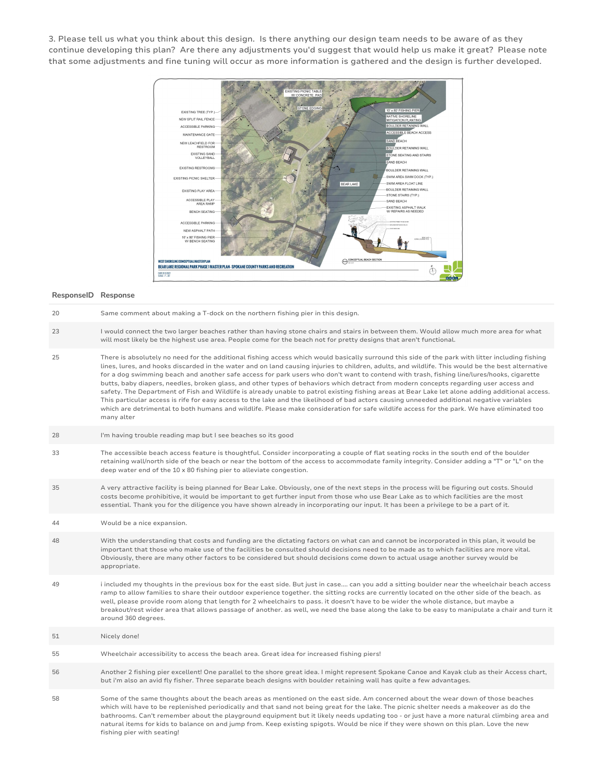3. Please tell us what you think about this design. Is there anything our design team needs to be aware of as they continue developing this plan? Are there any adjustments you'd suggest that would help us make it great? Please note that some adjustments and fine tuning will occur as more information is gathered and the design is further developed.



#### **ResponseID Response**

fishing pier with seating!

| 20 | Same comment about making a T-dock on the northern fishing pier in this design.                                                                                                                                                                                                                                                                                                                                                                                                                                                                                                                                                                                                                                                                                                                                                                                                                                                                                                                                                                          |
|----|----------------------------------------------------------------------------------------------------------------------------------------------------------------------------------------------------------------------------------------------------------------------------------------------------------------------------------------------------------------------------------------------------------------------------------------------------------------------------------------------------------------------------------------------------------------------------------------------------------------------------------------------------------------------------------------------------------------------------------------------------------------------------------------------------------------------------------------------------------------------------------------------------------------------------------------------------------------------------------------------------------------------------------------------------------|
| 23 | I would connect the two larger beaches rather than having stone chairs and stairs in between them. Would allow much more area for what<br>will most likely be the highest use area. People come for the beach not for pretty designs that aren't functional.                                                                                                                                                                                                                                                                                                                                                                                                                                                                                                                                                                                                                                                                                                                                                                                             |
| 25 | There is absolutely no need for the additional fishing access which would basically surround this side of the park with litter including fishing<br>lines, lures, and hooks discarded in the water and on land causing injuries to children, adults, and wildlife. This would be the best alternative<br>for a dog swimming beach and another safe access for park users who don't want to contend with trash, fishing line/lures/hooks, cigarette<br>butts, baby diapers, needles, broken glass, and other types of behaviors which detract from modern concepts regarding user access and<br>safety. The Department of Fish and Wildlife is already unable to patrol existing fishing areas at Bear Lake let alone adding additional access.<br>This particular access is rife for easy access to the lake and the likelihood of bad actors causing unneeded additional negative variables<br>which are detrimental to both humans and wildlife. Please make consideration for safe wildlife access for the park. We have eliminated too<br>many alter |
| 28 | I'm having trouble reading map but I see beaches so its good                                                                                                                                                                                                                                                                                                                                                                                                                                                                                                                                                                                                                                                                                                                                                                                                                                                                                                                                                                                             |
| 33 | The accessible beach access feature is thoughtful. Consider incorporating a couple of flat seating rocks in the south end of the boulder<br>retaining wall/north side of the beach or near the bottom of the access to accommodate family integrity. Consider adding a "T" or "L" on the<br>deep water end of the 10 x 80 fishing pier to alleviate congestion.                                                                                                                                                                                                                                                                                                                                                                                                                                                                                                                                                                                                                                                                                          |
| 35 | A very attractive facility is being planned for Bear Lake. Obviously, one of the next steps in the process will be figuring out costs. Should<br>costs become prohibitive, it would be important to get further input from those who use Bear Lake as to which facilities are the most<br>essential. Thank you for the diligence you have shown already in incorporating our input. It has been a privilege to be a part of it.                                                                                                                                                                                                                                                                                                                                                                                                                                                                                                                                                                                                                          |
| 44 | Would be a nice expansion.                                                                                                                                                                                                                                                                                                                                                                                                                                                                                                                                                                                                                                                                                                                                                                                                                                                                                                                                                                                                                               |
| 48 | With the understanding that costs and funding are the dictating factors on what can and cannot be incorporated in this plan, it would be<br>important that those who make use of the facilities be consulted should decisions need to be made as to which facilities are more vital.<br>Obviously, there are many other factors to be considered but should decisions come down to actual usage another survey would be<br>appropriate.                                                                                                                                                                                                                                                                                                                                                                                                                                                                                                                                                                                                                  |
| 49 | i included my thoughts in the previous box for the east side. But just in case can you add a sitting boulder near the wheelchair beach access<br>ramp to allow families to share their outdoor experience together, the sitting rocks are currently located on the other side of the beach, as<br>well, please provide room along that length for 2 wheelchairs to pass. it doesn't have to be wider the whole distance, but maybe a<br>breakout/rest wider area that allows passage of another. as well, we need the base along the lake to be easy to manipulate a chair and turn it<br>around 360 degrees.                                                                                                                                                                                                                                                                                                                                                                                                                                            |
| 51 | Nicely done!                                                                                                                                                                                                                                                                                                                                                                                                                                                                                                                                                                                                                                                                                                                                                                                                                                                                                                                                                                                                                                             |
|    |                                                                                                                                                                                                                                                                                                                                                                                                                                                                                                                                                                                                                                                                                                                                                                                                                                                                                                                                                                                                                                                          |
| 55 | Wheelchair accessibility to access the beach area. Great idea for increased fishing piers!                                                                                                                                                                                                                                                                                                                                                                                                                                                                                                                                                                                                                                                                                                                                                                                                                                                                                                                                                               |
| 56 | Another 2 fishing pier excellent! One parallel to the shore great idea. I might represent Spokane Canoe and Kayak club as their Access chart,<br>but i'm also an avid fly fisher. Three separate beach designs with boulder retaining wall has quite a few advantages.                                                                                                                                                                                                                                                                                                                                                                                                                                                                                                                                                                                                                                                                                                                                                                                   |